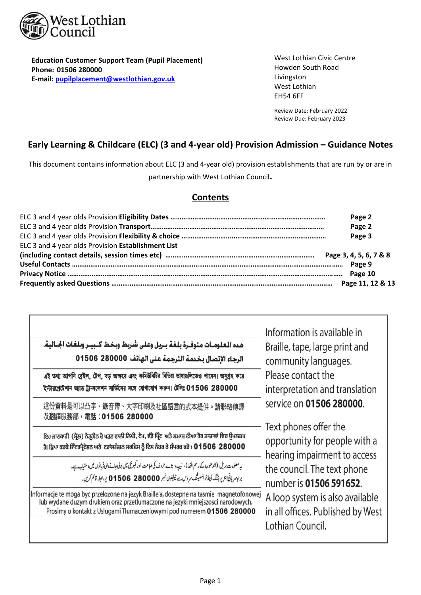

I

 **Phone: 01506 280000 Education Customer Support Team (Pupil Placement) E‐mail: pupilplacement@westlothian.gov.uk**

 West Lothian Civic Centre Howden South Road Livingston West Lothian EH54 6FF

> Review Date: February 2022 Review Due: February 2023

> > ı

# **Early Learning & Childcare (ELC) (3 and 4‐year old) Provision Admission – Guidance Notes**

This document contains information about ELC (3 and 4‐year old) provision establishments that are run by or are in partnership with West Lothian Council**.** 

# **Contents**

|                                                    | Page 2 |
|----------------------------------------------------|--------|
|                                                    | Page 2 |
|                                                    | Page 3 |
| ELC 3 and 4 year olds Provision Establishment List |        |
|                                                    |        |
|                                                    | Page 9 |
|                                                    |        |
|                                                    |        |

| هـده المعلومــات متوفــرة بلـغـة بــريل وعلى شريط وبـخـط كــبيــر وبلـغـات الجــاليـة.<br>الرجاء الإنصال بخدمة الترجمة على الهاتف 280000 01506 | Information is available in<br>Braille, tape, large print and<br>community languages. |  |  |  |  |
|------------------------------------------------------------------------------------------------------------------------------------------------|---------------------------------------------------------------------------------------|--|--|--|--|
| এই তথ্য আপনি ব্রেইল, টেপ, বড় অক্ষরে এবং কমিউনিটির বিভিন্ন ভাষাগুলিতেও পাবেন। অনুগ্রহ করে                                                      | Please contact the                                                                    |  |  |  |  |
| ইন্টারপ্রেটেশান অ্যান্ড ট্রান্সলেশন সার্ভিসের সঙ্গে যোগাযোগ করুন। টেলিঃ 01506 280000                                                           | interpretation and translation                                                        |  |  |  |  |
| 這份資料是可以凸字、錄音帶、大字印刷及社區語言的式本提供。請聯絡傳譯                                                                                                             | service on 01506 280000.                                                              |  |  |  |  |
| 及翻譯服務部,電話:01506 280000                                                                                                                         | Text phones offer the                                                                 |  |  |  |  |
| ਇਹ ਜਾਣਕਾਰੀ (ਬ੍ਰੇਲ) ਨੇਤ੍ਰੀਨ ਦੇ ਪੜਣ ਵਾਲੀ ਲਿਪੀ, ਟੇਪ, ਵੱਡੇ ਪ੍ਰਿੰਟ ਅਤੇ ਸਮਾਜ ਦੀਆ ਹੋਰ ਰਾਸ਼ਾਵਾਂ ਵਿਚ ਉਪਲਬਧ                                              | opportunity for people with a                                                         |  |  |  |  |
| ਹੈ। ਕ੍ਰਿਪਾ ਕਰਕੇ ਇੰਟਰਪ੍ਰੈਟੇਸ਼ਨ ਅਤੇ ਟਰਾਂਸਲੇਸ਼ਨ ਸਰਵਿਸ ਨੂੰ ਇਸ ਨੰਬਰ ਤੇ ਸੰਪਰਕ ਕਰੋ : 01506 280000                                                     | hearing impairment to access                                                          |  |  |  |  |
| یہ معلومات بریل (اندھوں کے رسم الخط)، نیپ، بڑے حروف کی طباعت لور کمیونٹی میں بولی جانے والی ڈبانوں میں دستیاب ہے۔                              | the council. The text phone                                                           |  |  |  |  |
| براہِ مربانی اِنٹریریننگ اَبیڈٹرانسلیٹنگ مردس ہے ٹیلیفون نمبر 280000 28066 پر ابطہ قائم کریں۔                                                  | number is 01506 591652.                                                               |  |  |  |  |
| Informacje te moga byc przelozone na jezyk Braille'a, dostepne na tasmie magnetofonowej                                                        | A loop system is also available                                                       |  |  |  |  |
| lub wydane duzym drukiem oraz przetlumaczone na jezyki mniejszosci narodowych.                                                                 | in all offices. Published by West                                                     |  |  |  |  |
| Prosimy o kontakt z Uslugami Tlumaczeniowymi pod numerem 01506 280000                                                                          | Lothian Council.                                                                      |  |  |  |  |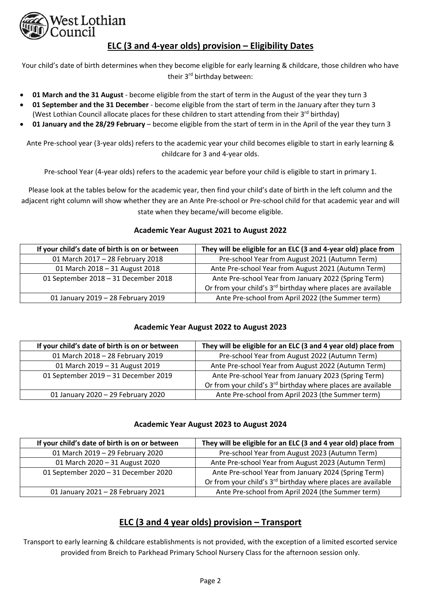

# **ELC (3 and 4‐year olds) provision – Eligibility Dates**

Your child's date of birth determines when they become eligible for early learning & childcare, those children who have their 3<sup>rd</sup> birthday between:

- **01 March and the 31 August** ‐ become eligible from the start of term in the August of the year they turn 3
- **01 September and the 31 December** ‐ become eligible from the start of term in the January after they turn 3 (West Lothian Council allocate places for these children to start attending from their 3<sup>rd</sup> birthday)
- **01 January and the 28/29 February** become eligible from the start of term in in the April of the year they turn 3

Ante Pre-school year (3-year olds) refers to the academic year your child becomes eligible to start in early learning & childcare for 3 and 4‐year olds.

Pre‐school Year (4‐year olds) refers to the academic year before your child is eligible to start in primary 1.

Please look at the tables below for the academic year, then find your child's date of birth in the left column and the adjacent right column will show whether they are an Ante Pre-school or Pre-school child for that academic year and will state when they became/will become eligible.

# **Academic Year August 2021 to August 2022**

| If your child's date of birth is on or between | They will be eligible for an ELC (3 and 4-year old) place from           |
|------------------------------------------------|--------------------------------------------------------------------------|
| 01 March 2017 - 28 February 2018               | Pre-school Year from August 2021 (Autumn Term)                           |
| 01 March 2018 - 31 August 2018                 | Ante Pre-school Year from August 2021 (Autumn Term)                      |
| 01 September 2018 - 31 December 2018           | Ante Pre-school Year from January 2022 (Spring Term)                     |
|                                                | Or from your child's 3 <sup>rd</sup> birthday where places are available |
| 01 January 2019 - 28 February 2019             | Ante Pre-school from April 2022 (the Summer term)                        |

# **Academic Year August 2022 to August 2023**

| If your child's date of birth is on or between | They will be eligible for an ELC (3 and 4 year old) place from           |
|------------------------------------------------|--------------------------------------------------------------------------|
| 01 March 2018 - 28 February 2019               | Pre-school Year from August 2022 (Autumn Term)                           |
| 01 March 2019 - 31 August 2019                 | Ante Pre-school Year from August 2022 (Autumn Term)                      |
| 01 September 2019 - 31 December 2019           | Ante Pre-school Year from January 2023 (Spring Term)                     |
|                                                | Or from your child's 3 <sup>rd</sup> birthday where places are available |
| 01 January 2020 - 29 February 2020             | Ante Pre-school from April 2023 (the Summer term)                        |

# **Academic Year August 2023 to August 2024**

| If your child's date of birth is on or between | They will be eligible for an ELC (3 and 4 year old) place from           |
|------------------------------------------------|--------------------------------------------------------------------------|
| 01 March 2019 - 29 February 2020               | Pre-school Year from August 2023 (Autumn Term)                           |
| 01 March 2020 - 31 August 2020                 | Ante Pre-school Year from August 2023 (Autumn Term)                      |
| 01 September 2020 - 31 December 2020           | Ante Pre-school Year from January 2024 (Spring Term)                     |
|                                                | Or from your child's 3 <sup>rd</sup> birthday where places are available |
| 01 January 2021 - 28 February 2021             | Ante Pre-school from April 2024 (the Summer term)                        |

# **ELC (3 and 4 year olds) provision – Transport**

Transport to early learning & childcare establishments is not provided, with the exception of a limited escorted service provided from Breich to Parkhead Primary School Nursery Class for the afternoon session only.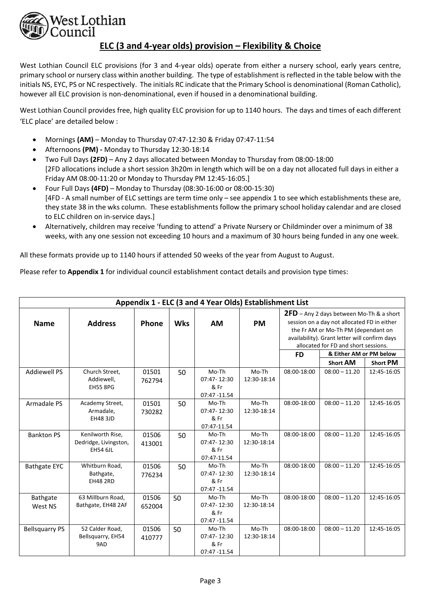

# **ELC (3 and 4‐year olds) provision – Flexibility & Choice**

West Lothian Council ELC provisions (for 3 and 4-year olds) operate from either a nursery school, early years centre, primary school or nursery class within another building. The type of establishment is reflected in the table below with the initials NS, EYC, PS or NC respectively. The initials RC indicate that the Primary School is denominational (Roman Catholic), however all ELC provision is non-denominational, even if housed in a denominational building.

West Lothian Council provides free, high quality ELC provision for up to 1140 hours. The days and times of each different 'ELC place' are detailed below :

- Mornings **(AM)** Monday to Thursday 07:47‐12:30 & Friday 07:47‐11:54
- Afternoons **(PM) ‐** Monday to Thursday 12:30‐18:14
- Two Full Days **(2FD)** Any 2 days allocated between Monday to Thursday from 08:00‐18:00 [2FD allocations include a short session 3h20m in length which will be on a day not allocated full days in either a Friday AM 08:00‐11:20 or Monday to Thursday PM 12:45‐16:05.]
- Four Full Days **(4FD)** Monday to Thursday (08:30‐16:00 or 08:00‐15:30) [4FD ‐ A small number of ELC settings are term time only – see appendix 1 to see which establishments these are, they state 38 in the wks column. These establishments follow the primary school holiday calendar and are closed to ELC children on in‐service days.]
- Alternatively, children may receive 'funding to attend' a Private Nursery or Childminder over a minimum of 38 weeks, with any one session not exceeding 10 hours and a maximum of 30 hours being funded in any one week.

All these formats provide up to 1140 hours if attended 50 weeks of the year from August to August.

Please refer to **Appendix 1** for individual council establishment contact details and provision type times:

| Appendix 1 - ELC (3 and 4 Year Olds) Establishment List |                       |              |            |              |             |                                            |                                                                 |                 |  |
|---------------------------------------------------------|-----------------------|--------------|------------|--------------|-------------|--------------------------------------------|-----------------------------------------------------------------|-----------------|--|
|                                                         |                       |              |            |              |             | $2FD$ – Any 2 days between Mo-Th & a short |                                                                 |                 |  |
| <b>Name</b>                                             | <b>Address</b>        | <b>Phone</b> | <b>Wks</b> | <b>AM</b>    | <b>PM</b>   |                                            | session on a day not allocated FD in either                     |                 |  |
|                                                         |                       |              |            |              |             |                                            | the Fr AM or Mo-Th PM (dependant on                             |                 |  |
|                                                         |                       |              |            |              |             |                                            | availability). Grant letter will confirm days                   |                 |  |
|                                                         |                       |              |            |              |             |                                            | allocated for FD and short sessions.<br>& Either AM or PM below |                 |  |
|                                                         |                       |              |            |              |             | <b>FD</b>                                  |                                                                 |                 |  |
|                                                         |                       |              |            |              |             |                                            | <b>Short AM</b>                                                 | <b>Short PM</b> |  |
| <b>Addiewell PS</b>                                     | Church Street,        | 01501        | 50         | Mo-Th        | Mo-Th       | 08:00-18:00                                | $08:00 - 11.20$                                                 | 12:45-16:05     |  |
|                                                         | Addiewell,            | 762794       |            | 07:47-12:30  | 12:30-18:14 |                                            |                                                                 |                 |  |
|                                                         | <b>EH55 8PG</b>       |              |            | & Fr         |             |                                            |                                                                 |                 |  |
|                                                         |                       |              |            | 07:47 -11.54 |             |                                            |                                                                 |                 |  |
| Armadale PS                                             | Academy Street,       | 01501        | 50         | Mo-Th        | Mo-Th       | 08:00-18:00                                | $08:00 - 11.20$                                                 | 12:45-16:05     |  |
|                                                         | Armadale,             | 730282       |            | 07:47-12:30  | 12:30-18:14 |                                            |                                                                 |                 |  |
|                                                         | <b>EH48 3JD</b>       |              |            | & Fr         |             |                                            |                                                                 |                 |  |
|                                                         |                       |              |            | 07:47-11.54  |             |                                            |                                                                 |                 |  |
| <b>Bankton PS</b>                                       | Kenilworth Rise,      | 01506        | 50         | Mo-Th        | Mo-Th       | 08:00-18:00                                | $08:00 - 11.20$                                                 | 12:45-16:05     |  |
|                                                         | Dedridge, Livingston, | 413001       |            | 07:47-12:30  | 12:30-18:14 |                                            |                                                                 |                 |  |
|                                                         | <b>EH54 6JL</b>       |              |            | & Fr         |             |                                            |                                                                 |                 |  |
|                                                         |                       |              |            | 07:47-11.54  |             |                                            |                                                                 |                 |  |
| <b>Bathgate EYC</b>                                     | Whitburn Road,        | 01506        | 50         | Mo-Th        | Mo-Th       | 08:00-18:00                                | $08:00 - 11.20$                                                 | 12:45-16:05     |  |
|                                                         | Bathgate,             | 776234       |            | 07:47-12:30  | 12:30-18:14 |                                            |                                                                 |                 |  |
|                                                         | <b>EH48 2RD</b>       |              |            | & Fr         |             |                                            |                                                                 |                 |  |
|                                                         |                       |              |            | 07:47 -11.54 |             |                                            |                                                                 |                 |  |
| Bathgate                                                | 63 Millburn Road,     | 01506        | 50         | Mo-Th        | Mo-Th       | 08:00-18:00                                | $08:00 - 11.20$                                                 | 12:45-16:05     |  |
| West NS                                                 | Bathgate, EH48 2AF    | 652004       |            | 07:47-12:30  | 12:30-18:14 |                                            |                                                                 |                 |  |
|                                                         |                       |              |            | & Fr         |             |                                            |                                                                 |                 |  |
|                                                         |                       |              |            | 07:47 -11.54 |             |                                            |                                                                 |                 |  |
| <b>Bellsquarry PS</b>                                   | 52 Calder Road,       | 01506        | 50         | Mo-Th        | Mo-Th       | 08:00-18:00                                | $08:00 - 11.20$                                                 | 12:45-16:05     |  |
|                                                         | Bellsquarry, EH54     | 410777       |            | 07:47-12:30  | 12:30-18:14 |                                            |                                                                 |                 |  |
|                                                         | 9AD                   |              |            | & Fr         |             |                                            |                                                                 |                 |  |
|                                                         |                       |              |            | 07:47 -11.54 |             |                                            |                                                                 |                 |  |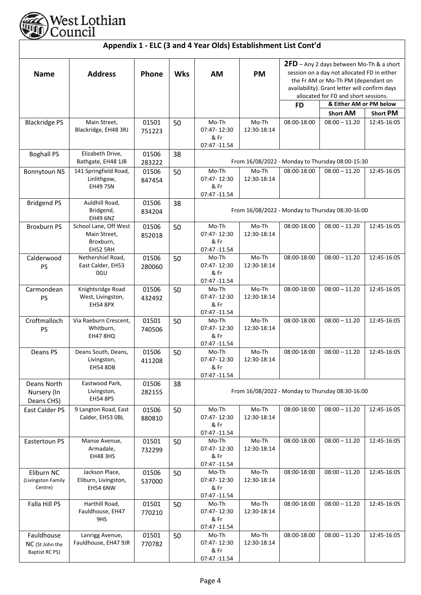

| Appendix 1 - ELC (3 and 4 Year Olds) Establishment List Cont'd |                                                                       |                 |            |                                              |                      |                                                                                                                                                                                                                                                      |                                                  |                 |  |
|----------------------------------------------------------------|-----------------------------------------------------------------------|-----------------|------------|----------------------------------------------|----------------------|------------------------------------------------------------------------------------------------------------------------------------------------------------------------------------------------------------------------------------------------------|--------------------------------------------------|-----------------|--|
| <b>Name</b>                                                    | <b>Address</b>                                                        | Phone           | <b>Wks</b> | <b>AM</b>                                    | <b>PM</b>            | $2FD$ – Any 2 days between Mo-Th & a short<br>session on a day not allocated FD in either<br>the Fr AM or Mo-Th PM (dependant on<br>availability). Grant letter will confirm days<br>allocated for FD and short sessions.<br>& Either AM or PM below |                                                  |                 |  |
|                                                                |                                                                       |                 |            |                                              |                      | <b>FD</b>                                                                                                                                                                                                                                            | <b>Short AM</b>                                  | <b>Short PM</b> |  |
| <b>Blackridge PS</b>                                           | Main Street,<br>Blackridge, EH48 3RJ                                  | 01501<br>751223 | 50         | Mo-Th<br>07:47-12:30<br>& Fr<br>07:47 -11.54 | Mo-Th<br>12:30-18:14 | 08:00-18:00                                                                                                                                                                                                                                          | $08:00 - 11.20$                                  | 12:45-16:05     |  |
| <b>Boghall PS</b>                                              | Elizabeth Drive,<br>Bathgate, EH48 1JB                                | 01506<br>283222 | 38         |                                              |                      |                                                                                                                                                                                                                                                      | From 16/08/2022 - Monday to Thursday 08:00-15:30 |                 |  |
| <b>Bonnytoun NS</b>                                            | 141 Springfield Road,<br>Linlithgow,<br><b>EH49 7SN</b>               | 01506<br>847454 | 50         | Mo-Th<br>07:47-12:30<br>& Fr<br>07:47 -11.54 | Mo-Th<br>12:30-18:14 | 08:00-18:00                                                                                                                                                                                                                                          | $08:00 - 11.20$                                  | 12:45-16:05     |  |
| <b>Bridgend PS</b>                                             | Auldhill Road,<br>Bridgend,<br><b>EH49 6NZ</b>                        | 01506<br>834204 | 38         |                                              |                      |                                                                                                                                                                                                                                                      | From 16/08/2022 - Monday to Thursday 08:30-16:00 |                 |  |
| <b>Broxburn PS</b>                                             | School Lane, Off West<br>Main Street,<br>Broxburn,<br><b>EH52 5RH</b> | 01506<br>852018 | 50         | Mo-Th<br>07:47-12:30<br>& Fr<br>07:47 -11.54 | Mo-Th<br>12:30-18:14 | 08:00-18:00                                                                                                                                                                                                                                          | $08:00 - 11.20$                                  | 12:45-16:05     |  |
| Calderwood<br><b>PS</b>                                        | Nethershiel Road,<br>East Calder, EH53<br>0GU                         | 01506<br>280060 | 50         | Mo-Th<br>07:47-12:30<br>& Fr<br>07:47 -11.54 | Mo-Th<br>12:30-18:14 | 08:00-18:00                                                                                                                                                                                                                                          | $08:00 - 11.20$                                  | 12:45-16:05     |  |
| Carmondean<br>PS                                               | Knightsridge Road<br>West, Livingston,<br><b>EH54 8PX</b>             | 01506<br>432492 | 50         | Mo-Th<br>07:47-12:30<br>& Fr<br>07:47 -11.54 | Mo-Th<br>12:30-18:14 | 08:00-18:00                                                                                                                                                                                                                                          | $08:00 - 11.20$                                  | 12:45-16:05     |  |
| Croftmalloch<br>PS                                             | Via Raeburn Crescent,<br>Whitburn,<br><b>EH47 8HQ</b>                 | 01501<br>740506 | 50         | Mo-Th<br>07:47-12:30<br>& Fr<br>07:47 -11.54 | Mo-Th<br>12:30-18:14 | 08:00-18:00                                                                                                                                                                                                                                          | $08:00 - 11.20$                                  | 12:45-16:05     |  |
| Deans PS                                                       | Deans South, Deans,<br>Livingston,<br><b>EH54 8DB</b>                 | 01506<br>411208 | 50         | Mo-Th<br>07:47-12:30<br>& Fr<br>07:47 -11.54 | Mo-Th<br>12:30-18:14 | 08:00-18:00                                                                                                                                                                                                                                          | $08:00 - 11.20$                                  | 12:45-16:05     |  |
| Deans North<br>Nursery (In<br>Deans CHS)                       | Eastwood Park,<br>Livingston,<br><b>EH54 8PS</b>                      | 01506<br>282155 | 38         |                                              |                      |                                                                                                                                                                                                                                                      | From 16/08/2022 - Monday to Thursday 08:30-16:00 |                 |  |
| East Calder PS                                                 | 9 Langton Road, East<br>Calder, EH53 OBL                              | 01506<br>880810 | 50         | Mo-Th<br>07:47-12:30<br>& Fr<br>07:47 -11.54 | Mo-Th<br>12:30-18:14 | 08:00-18:00                                                                                                                                                                                                                                          | $08:00 - 11.20$                                  | 12:45-16:05     |  |
| Eastertoun PS                                                  | Manse Avenue,<br>Armadale,<br>EH48 3HS                                | 01501<br>732299 | 50         | Mo-Th<br>07:47-12:30<br>& Fr<br>07:47 -11.54 | Mo-Th<br>12:30-18:14 | 08:00-18:00                                                                                                                                                                                                                                          | $08:00 - 11.20$                                  | 12:45-16:05     |  |
| Eliburn NC<br>(Livingston Family<br>Centre)                    | Jackson Place,<br>Eliburn, Livingston,<br>EH54 6NW                    | 01506<br>537000 | 50         | Mo-Th<br>07:47-12:30<br>& Fr<br>07:47 -11.54 | Mo-Th<br>12:30-18:14 | 08:00-18:00                                                                                                                                                                                                                                          | $08:00 - 11.20$                                  | 12:45-16:05     |  |
| Falla Hill PS                                                  | Harthill Road,<br>Fauldhouse, EH47<br>9HS                             | 01501<br>770210 | 50         | Mo-Th<br>07:47-12:30<br>& Fr<br>07:47 -11.54 | Mo-Th<br>12:30-18:14 | 08:00-18:00                                                                                                                                                                                                                                          | $08:00 - 11.20$                                  | 12:45-16:05     |  |
| Fauldhouse<br>NC (St John the<br>Baptist RC PS)                | Lanrigg Avenue,<br>Fauldhouse, EH47 9JR                               | 01501<br>770782 | 50         | Mo-Th<br>07:47-12:30<br>& Fr<br>07:47 -11.54 | Mo-Th<br>12:30-18:14 | 08:00-18:00                                                                                                                                                                                                                                          | $08:00 - 11.20$                                  | 12:45-16:05     |  |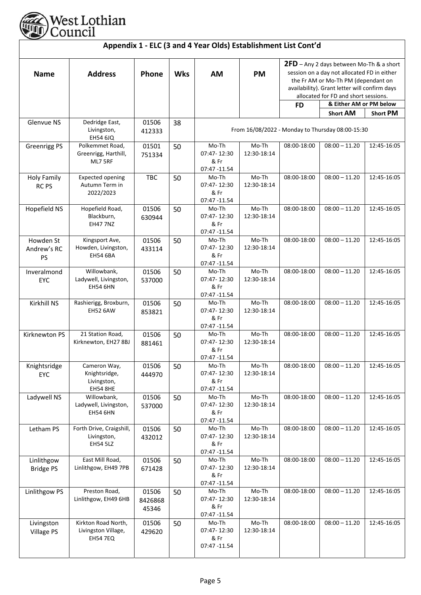

| <b>Name</b>                            | <b>Address</b>                                                  | Phone                     | <b>Wks</b> | AM                                           | <b>PM</b>            | 2FD - Any 2 days between Mo-Th & a short<br>session on a day not allocated FD in either<br>the Fr AM or Mo-Th PM (dependant on<br>availability). Grant letter will confirm days<br>allocated for FD and short sessions. |                                                  |                 |  |
|----------------------------------------|-----------------------------------------------------------------|---------------------------|------------|----------------------------------------------|----------------------|-------------------------------------------------------------------------------------------------------------------------------------------------------------------------------------------------------------------------|--------------------------------------------------|-----------------|--|
|                                        |                                                                 |                           |            |                                              |                      | <b>FD</b>                                                                                                                                                                                                               | & Either AM or PM below                          |                 |  |
|                                        |                                                                 |                           |            |                                              |                      |                                                                                                                                                                                                                         | <b>Short AM</b>                                  | <b>Short PM</b> |  |
| Glenvue NS                             | Dedridge East,<br>Livingston,<br><b>EH54 6JQ</b>                | 01506<br>412333           | 38         |                                              |                      |                                                                                                                                                                                                                         | From 16/08/2022 - Monday to Thursday 08:00-15:30 |                 |  |
| <b>Greenrigg PS</b>                    | Polkemmet Road,<br>Greenrigg, Harthill,<br>ML7 5RF              | 01501<br>751334           | 50         | Mo-Th<br>07:47-12:30<br>& Fr<br>07:47 -11.54 | Mo-Th<br>12:30-18:14 | 08:00-18:00                                                                                                                                                                                                             | $08:00 - 11.20$                                  | 12:45-16:05     |  |
| <b>Holy Family</b><br>RC <sub>PS</sub> | <b>Expected opening</b><br>Autumn Term in<br>2022/2023          | <b>TBC</b>                | 50         | Mo-Th<br>07:47-12:30<br>& Fr<br>07:47 -11.54 | Mo-Th<br>12:30-18:14 | 08:00-18:00                                                                                                                                                                                                             | $08:00 - 11.20$                                  | 12:45-16:05     |  |
| Hopefield NS                           | Hopefield Road,<br>Blackburn,<br><b>EH47 7NZ</b>                | 01506<br>630944           | 50         | Mo-Th<br>07:47-12:30<br>& Fr<br>07:47 -11.54 | Mo-Th<br>12:30-18:14 | 08:00-18:00                                                                                                                                                                                                             | $08:00 - 11.20$                                  | 12:45-16:05     |  |
| Howden St<br>Andrew's RC<br>PS         | Kingsport Ave,<br>Howden, Livingston,<br>EH54 6BA               | 01506<br>433114           | 50         | Mo-Th<br>07:47-12:30<br>& Fr<br>07:47 -11.54 | Mo-Th<br>12:30-18:14 | 08:00-18:00                                                                                                                                                                                                             | $08:00 - 11.20$                                  | 12:45-16:05     |  |
| Inveralmond<br>EYC                     | Willowbank,<br>Ladywell, Livingston,<br><b>EH54 6HN</b>         | 01506<br>537000           | 50         | Mo-Th<br>07:47-12:30<br>& Fr<br>07:47 -11.54 | Mo-Th<br>12:30-18:14 | 08:00-18:00                                                                                                                                                                                                             | $08:00 - 11.20$                                  | 12:45-16:05     |  |
| Kirkhill NS                            | Rashierigg, Broxburn,<br><b>EH52 6AW</b>                        | 01506<br>853821           | 50         | Mo-Th<br>07:47-12:30<br>& Fr<br>07:47 -11.54 | Mo-Th<br>12:30-18:14 | 08:00-18:00                                                                                                                                                                                                             | $08:00 - 11.20$                                  | 12:45-16:05     |  |
| Kirknewton PS                          | 21 Station Road,<br>Kirknewton, EH27 8BJ                        | 01506<br>881461           | 50         | Mo-Th<br>07:47-12:30<br>& Fr<br>07:47 -11.54 | Mo-Th<br>12:30-18:14 | 08:00-18:00                                                                                                                                                                                                             | $08:00 - 11.20$                                  | 12:45-16:05     |  |
| Knightsridge<br><b>EYC</b>             | Cameron Way,<br>Knightsridge,<br>Livingston,<br><b>EH54 8HE</b> | 01506<br>444970           | 50         | Mo-Th<br>07:47-12:30<br>& Fr<br>07:47 -11.54 | Mo-Th<br>12:30-18:14 | 08:00-18:00                                                                                                                                                                                                             | $08:00 - 11.20$                                  | 12:45-16:05     |  |
| Ladywell NS                            | Willowbank,<br>Ladywell, Livingston,<br><b>EH54 6HN</b>         | 01506<br>537000           | 50         | Mo-Th<br>07:47-12:30<br>& Fr<br>07:47 -11.54 | Mo-Th<br>12:30-18:14 | 08:00-18:00                                                                                                                                                                                                             | $08:00 - 11.20$                                  | 12:45-16:05     |  |
| Letham PS                              | Forth Drive, Craigshill,<br>Livingston,<br><b>EH54 5LZ</b>      | 01506<br>432012           | 50         | Mo-Th<br>07:47-12:30<br>& Fr<br>07:47 -11.54 | Mo-Th<br>12:30-18:14 | 08:00-18:00                                                                                                                                                                                                             | $08:00 - 11.20$                                  | 12:45-16:05     |  |
| Linlithgow<br><b>Bridge PS</b>         | East Mill Road,<br>Linlithgow, EH49 7PB                         | 01506<br>671428           | 50         | Mo-Th<br>07:47-12:30<br>& Fr<br>07:47 -11.54 | Mo-Th<br>12:30-18:14 | 08:00-18:00                                                                                                                                                                                                             | $08:00 - 11.20$                                  | 12:45-16:05     |  |
| Linlithgow PS                          | Preston Road,<br>Linlithgow, EH49 6HB                           | 01506<br>8426868<br>45346 | 50         | Mo-Th<br>07:47-12:30<br>& Fr<br>07:47 -11.54 | Mo-Th<br>12:30-18:14 | 08:00-18:00                                                                                                                                                                                                             | $08:00 - 11.20$                                  | 12:45-16:05     |  |
| Livingston<br>Village PS               | Kirkton Road North,<br>Livingston Village,<br><b>EH54 7EQ</b>   | 01506<br>429620           | 50         | Mo-Th<br>07:47-12:30<br>& Fr<br>07:47 -11.54 | Mo-Th<br>12:30-18:14 | 08:00-18:00                                                                                                                                                                                                             | $08:00 - 11.20$                                  | 12:45-16:05     |  |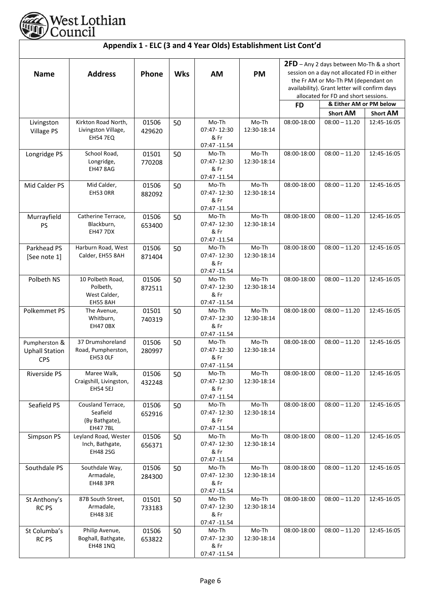

| Appendix 1 - ELC (3 and 4 Year Olds) Establishment List Cont'd |                                                                   |                 |            |                                              |                         |                                                                                                                                                                                                                                                                 |                 |                 |  |
|----------------------------------------------------------------|-------------------------------------------------------------------|-----------------|------------|----------------------------------------------|-------------------------|-----------------------------------------------------------------------------------------------------------------------------------------------------------------------------------------------------------------------------------------------------------------|-----------------|-----------------|--|
| <b>Name</b>                                                    | <b>Address</b>                                                    | Phone           | <b>Wks</b> | <b>AM</b>                                    | <b>PM</b>               | 2FD - Any 2 days between Mo-Th & a short<br>session on a day not allocated FD in either<br>the Fr AM or Mo-Th PM (dependant on<br>availability). Grant letter will confirm days<br>allocated for FD and short sessions.<br>& Either AM or PM below<br><b>FD</b> |                 |                 |  |
|                                                                |                                                                   |                 |            |                                              |                         |                                                                                                                                                                                                                                                                 | <b>Short AM</b> | <b>Short AM</b> |  |
| Livingston<br><b>Village PS</b>                                | Kirkton Road North,<br>Livingston Village,<br><b>EH54 7EQ</b>     | 01506<br>429620 | 50         | Mo-Th<br>07:47-12:30<br>& Fr<br>07:47 -11.54 | Mo-Th<br>12:30-18:14    | 08:00-18:00                                                                                                                                                                                                                                                     | $08:00 - 11.20$ | 12:45-16:05     |  |
| Longridge PS                                                   | School Road,<br>Longridge,<br><b>EH47 8AG</b>                     | 01501<br>770208 | 50         | Mo-Th<br>07:47-12:30<br>& Fr<br>07:47 -11.54 | Mo-Th<br>12:30-18:14    | 08:00-18:00                                                                                                                                                                                                                                                     | $08:00 - 11.20$ | 12:45-16:05     |  |
| Mid Calder PS                                                  | Mid Calder,<br>EH53 ORR                                           | 01506<br>882092 | 50         | Mo-Th<br>07:47-12:30<br>& Fr<br>07:47 -11.54 | Mo-Th<br>12:30-18:14    | 08:00-18:00                                                                                                                                                                                                                                                     | $08:00 - 11.20$ | 12:45-16:05     |  |
| Murrayfield<br>PS                                              | Catherine Terrace,<br>Blackburn,<br><b>EH47 7DX</b>               | 01506<br>653400 | 50         | Mo-Th<br>07:47-12:30<br>& Fr<br>07:47 -11.54 | Mo-Th<br>12:30-18:14    | 08:00-18:00                                                                                                                                                                                                                                                     | $08:00 - 11.20$ | 12:45-16:05     |  |
| Parkhead PS<br>[See note 1]                                    | Harburn Road, West<br>Calder, EH55 8AH                            | 01506<br>871404 | 50         | Mo-Th<br>07:47-12:30<br>& Fr<br>07:47 -11.54 | Mo-Th<br>12:30-18:14    | 08:00-18:00                                                                                                                                                                                                                                                     | $08:00 - 11.20$ | 12:45-16:05     |  |
| Polbeth NS                                                     | 10 Polbeth Road,<br>Polbeth,<br>West Calder,<br><b>EH55 8AH</b>   | 01506<br>872511 | 50         | Mo-Th<br>07:47-12:30<br>& Fr<br>07:47 -11.54 | Mo-Th<br>12:30-18:14    | 08:00-18:00                                                                                                                                                                                                                                                     | $08:00 - 11.20$ | 12:45-16:05     |  |
| Polkemmet PS                                                   | The Avenue,<br>Whitburn,<br>EH47 OBX                              | 01501<br>740319 | 50         | Mo-Th<br>07:47-12:30<br>& Fr<br>07:47 -11.54 | $Mo$ -Th<br>12:30-18:14 | 08:00-18:00                                                                                                                                                                                                                                                     | $08:00 - 11.20$ | 12:45-16:05     |  |
| Pumpherston &<br><b>Uphall Station</b><br><b>CPS</b>           | 37 Drumshoreland<br>Road, Pumpherston,<br>EH53 OLF                | 01506<br>280997 | 50         | Mo-Th<br>07:47-12:30<br>& Fr<br>07:47 -11.54 | Mo-Th<br>12:30-18:14    | 08:00-18:00                                                                                                                                                                                                                                                     | $08:00 - 11.20$ | 12:45-16:05     |  |
| Riverside PS                                                   | Maree Walk,<br>Craigshill, Livingston,<br>EH54 5EJ                | 01506<br>432248 | 50         | Mo-Th<br>07:47-12:30<br>& Fr<br>07:47 -11.54 | Mo-Th<br>12:30-18:14    | 08:00-18:00                                                                                                                                                                                                                                                     | $08:00 - 11.20$ | 12:45-16:05     |  |
| Seafield PS                                                    | Cousland Terrace,<br>Seafield<br>(By Bathgate),<br><b>EH477BL</b> | 01506<br>652916 | 50         | Mo-Th<br>07:47-12:30<br>& Fr<br>07:47 -11.54 | Mo-Th<br>12:30-18:14    | 08:00-18:00                                                                                                                                                                                                                                                     | $08:00 - 11.20$ | 12:45-16:05     |  |
| Simpson PS                                                     | Leyland Road, Wester<br>Inch, Bathgate,<br><b>EH48 2SG</b>        | 01506<br>656371 | 50         | Mo-Th<br>07:47-12:30<br>& Fr<br>07:47 -11.54 | Mo-Th<br>12:30-18:14    | 08:00-18:00                                                                                                                                                                                                                                                     | $08:00 - 11.20$ | 12:45-16:05     |  |
| Southdale PS                                                   | Southdale Way,<br>Armadale,<br>EH48 3PR                           | 01506<br>284300 | 50         | Mo-Th<br>07:47-12:30<br>& Fr<br>07:47 -11.54 | Mo-Th<br>12:30-18:14    | 08:00-18:00                                                                                                                                                                                                                                                     | $08:00 - 11.20$ | 12:45-16:05     |  |
| St Anthony's<br><b>RCPS</b>                                    | 87B South Street,<br>Armadale,<br><b>EH48 3JE</b>                 | 01501<br>733183 | 50         | Mo-Th<br>07:47-12:30<br>& Fr<br>07:47 -11.54 | Mo-Th<br>12:30-18:14    | 08:00-18:00                                                                                                                                                                                                                                                     | $08:00 - 11.20$ | 12:45-16:05     |  |
| St Columba's<br>RC <sub>PS</sub>                               | Philip Avenue,<br>Boghall, Bathgate,<br><b>EH48 1NQ</b>           | 01506<br>653822 | 50         | Mo-Th<br>07:47-12:30<br>& Fr<br>07:47 -11.54 | Mo-Th<br>12:30-18:14    | 08:00-18:00                                                                                                                                                                                                                                                     | $08:00 - 11.20$ | 12:45-16:05     |  |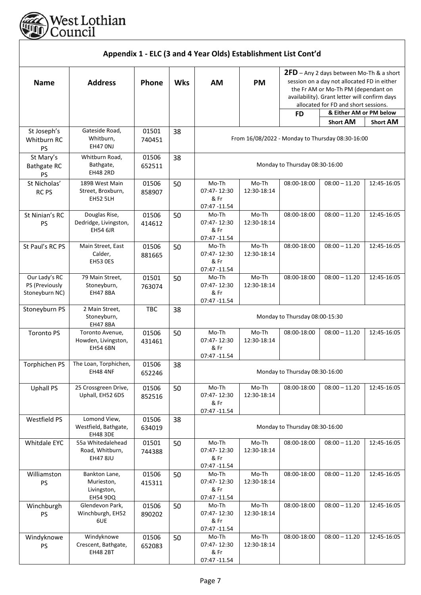

| Appendix 1 - ELC (3 and 4 Year Olds) Establishment List Cont'd |                                                               |                 |            |                                              |                      |                                                                                                                                                                                                                         |                                                  |                 |  |
|----------------------------------------------------------------|---------------------------------------------------------------|-----------------|------------|----------------------------------------------|----------------------|-------------------------------------------------------------------------------------------------------------------------------------------------------------------------------------------------------------------------|--------------------------------------------------|-----------------|--|
| <b>Name</b>                                                    | <b>Address</b>                                                | Phone           | <b>Wks</b> | <b>AM</b>                                    | <b>PM</b>            | 2FD - Any 2 days between Mo-Th & a short<br>session on a day not allocated FD in either<br>the Fr AM or Mo-Th PM (dependant on<br>availability). Grant letter will confirm days<br>allocated for FD and short sessions. |                                                  |                 |  |
|                                                                |                                                               |                 |            |                                              |                      | <b>FD</b>                                                                                                                                                                                                               | & Either AM or PM below                          |                 |  |
|                                                                |                                                               |                 |            |                                              |                      |                                                                                                                                                                                                                         | <b>Short AM</b>                                  | <b>Short AM</b> |  |
| St Joseph's<br>Whitburn RC<br>PS                               | Gateside Road,<br>Whitburn,<br>EH47 ONJ                       | 01501<br>740451 | 38         |                                              |                      |                                                                                                                                                                                                                         | From 16/08/2022 - Monday to Thursday 08:30-16:00 |                 |  |
| St Mary's<br><b>Bathgate RC</b><br>PS                          | Whitburn Road,<br>Bathgate,<br><b>EH48 2RD</b>                | 01506<br>652511 | 38         |                                              |                      | Monday to Thursday 08:30-16:00                                                                                                                                                                                          |                                                  |                 |  |
| St Nicholas'<br><b>RCPS</b>                                    | 189B West Main<br>Street, Broxburn,<br><b>EH52 5LH</b>        | 01506<br>858907 | 50         | Mo-Th<br>07:47-12:30<br>& Fr<br>07:47 -11.54 | Mo-Th<br>12:30-18:14 | 08:00-18:00                                                                                                                                                                                                             | $08:00 - 11.20$                                  | 12:45-16:05     |  |
| St Ninian's RC<br><b>PS</b>                                    | Douglas Rise,<br>Dedridge, Livingston,<br><b>EH54 6JR</b>     | 01506<br>414612 | 50         | Mo-Th<br>07:47-12:30<br>& Fr<br>07:47 -11.54 | Mo-Th<br>12:30-18:14 | 08:00-18:00                                                                                                                                                                                                             | $08:00 - 11.20$                                  | 12:45-16:05     |  |
| St Paul's RC PS                                                | Main Street, East<br>Calder,<br><b>EH53 OES</b>               | 01506<br>881665 | 50         | Mo-Th<br>07:47-12:30<br>& Fr<br>07:47 -11.54 | Mo-Th<br>12:30-18:14 | 08:00-18:00                                                                                                                                                                                                             | $08:00 - 11.20$                                  | 12:45-16:05     |  |
| Our Lady's RC<br>PS (Previously<br>Stoneyburn NC)              | 79 Main Street,<br>Stoneyburn,<br><b>EH47 8BA</b>             | 01501<br>763074 | 50         | Mo-Th<br>07:47-12:30<br>& Fr<br>07:47 -11.54 | Mo-Th<br>12:30-18:14 | 08:00-18:00                                                                                                                                                                                                             | $08:00 - 11.20$                                  | 12:45-16:05     |  |
| Stoneyburn PS                                                  | 2 Main Street,<br>Stoneyburn,<br><b>EH47 8BA</b>              | <b>TBC</b>      | 38         |                                              |                      | Monday to Thursday 08:00-15:30                                                                                                                                                                                          |                                                  |                 |  |
| Toronto <sub>PS</sub>                                          | Toronto Avenue,<br>Howden, Livingston,<br><b>EH54 6BN</b>     | 01506<br>431461 | 50         | Mo-Th<br>07:47-12:30<br>& Fr<br>07:47 -11.54 | Mo-Th<br>12:30-18:14 | 08:00-18:00                                                                                                                                                                                                             | $08:00 - 11.20$                                  | 12:45-16:05     |  |
| Torphichen PS                                                  | The Loan, Torphichen,<br><b>EH48 4NF</b>                      | 01506<br>652246 | 38         |                                              |                      | Monday to Thursday 08:30-16:00                                                                                                                                                                                          |                                                  |                 |  |
| <b>Uphall PS</b>                                               | 25 Crossgreen Drive,<br>Uphall, EH52 6DS                      | 01506<br>852516 | 50         | Mo-Th<br>07:47-12:30<br>& Fr<br>07:47 -11.54 | Mo-Th<br>12:30-18:14 | 08:00-18:00                                                                                                                                                                                                             | $08:00 - 11.20$                                  | 12:45-16:05     |  |
| Westfield PS                                                   | Lomond View,<br>Westfield, Bathgate,<br><b>EH48 3DE</b>       | 01506<br>634019 | 38         |                                              |                      | Monday to Thursday 08:30-16:00                                                                                                                                                                                          |                                                  |                 |  |
| Whitdale EYC                                                   | 55a Whitedalehead<br>Road, Whitburn,<br><b>EH47 8JU</b>       | 01501<br>744388 | 50         | Mo-Th<br>07:47-12:30<br>& Fr<br>07:47 -11.54 | Mo-Th<br>12:30-18:14 | 08:00-18:00                                                                                                                                                                                                             | $08:00 - 11.20$                                  | 12:45-16:05     |  |
| Williamston<br>PS                                              | Bankton Lane,<br>Murieston,<br>Livingston,<br><b>EH54 9DQ</b> | 01506<br>415311 | 50         | Mo-Th<br>07:47-12:30<br>& Fr<br>07:47 -11.54 | Mo-Th<br>12:30-18:14 | 08:00-18:00                                                                                                                                                                                                             | $08:00 - 11.20$                                  | 12:45-16:05     |  |
| Winchburgh<br><b>PS</b>                                        | Glendevon Park,<br>Winchburgh, EH52<br>6UE                    | 01506<br>890202 | 50         | Mo-Th<br>07:47-12:30<br>& Fr<br>07:47 -11.54 | Mo-Th<br>12:30-18:14 | 08:00-18:00                                                                                                                                                                                                             | $08:00 - 11.20$                                  | 12:45-16:05     |  |
| Windyknowe<br><b>PS</b>                                        | Windyknowe<br>Crescent, Bathgate,<br><b>EH48 2BT</b>          | 01506<br>652083 | 50         | Mo-Th<br>07:47-12:30<br>& Fr<br>07:47 -11.54 | Mo-Th<br>12:30-18:14 | 08:00-18:00                                                                                                                                                                                                             | $08:00 - 11.20$                                  | 12:45-16:05     |  |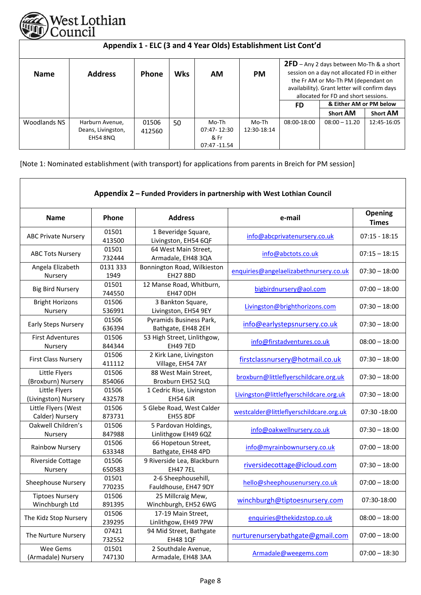

| Appendix 1 - ELC (3 and 4 Year Olds) Establishment List Cont'd |                                                   |                 |            |                                              |                      |             |                                                                                                                                                                                                                                                                              |                 |  |  |
|----------------------------------------------------------------|---------------------------------------------------|-----------------|------------|----------------------------------------------|----------------------|-------------|------------------------------------------------------------------------------------------------------------------------------------------------------------------------------------------------------------------------------------------------------------------------------|-----------------|--|--|
| <b>Name</b>                                                    | <b>Address</b>                                    | Phone           | <b>Wks</b> | ΑM                                           | <b>PM</b>            | FD.         | <b>2FD</b> – Any 2 days between Mo-Th & a short<br>session on a day not allocated FD in either<br>the Fr AM or Mo-Th PM (dependant on<br>availability). Grant letter will confirm days<br>allocated for FD and short sessions.<br>& Either AM or PM below<br><b>Short AM</b> | <b>Short AM</b> |  |  |
| Woodlands NS                                                   | Harburn Avenue,<br>Deans, Livingston,<br>EH54 8NO | 01506<br>412560 | 50         | Mo-Th<br>07:47-12:30<br>& Fr<br>07:47 -11.54 | Mo-Th<br>12:30-18:14 | 08:00-18:00 | $08:00 - 11.20$                                                                                                                                                                                                                                                              | 12:45-16:05     |  |  |

[Note 1: Nominated establishment (with transport) for applications from parents in Breich for PM session]

|                                          |                 |                                                | Appendix 2 - Funded Providers in partnership with West Lothian Council |                         |
|------------------------------------------|-----------------|------------------------------------------------|------------------------------------------------------------------------|-------------------------|
| <b>Name</b>                              | Phone           | <b>Address</b>                                 | e-mail                                                                 | Opening<br><b>Times</b> |
| <b>ABC Private Nursery</b>               | 01501<br>413500 | 1 Beveridge Square,<br>Livingston, EH54 6QF    | info@abcprivatenursery.co.uk                                           | $07:15 - 18:15$         |
| <b>ABC Tots Nursery</b>                  | 01501<br>732444 | 64 West Main Street,<br>Armadale, EH48 3QA     | info@abctots.co.uk                                                     | $07:15 - 18:15$         |
| Angela Elizabeth<br>Nursery              | 0131333<br>1949 | Bonnington Road, Wilkieston<br><b>EH27 8BD</b> | enquiries@angelaelizabethnursery.co.uk                                 | $07:30 - 18:00$         |
| <b>Big Bird Nursery</b>                  | 01501<br>744550 | 12 Manse Road, Whitburn,<br>EH47 ODH           | bigbirdnursery@aol.com                                                 | $07:00 - 18:00$         |
| <b>Bright Horizons</b><br>Nursery        | 01506<br>536991 | 3 Bankton Square,<br>Livingston, EH54 9EY      | Livingston@brighthorizons.com                                          | $07:30 - 18:00$         |
| <b>Early Steps Nursery</b>               | 01506<br>636394 | Pyramids Business Park,<br>Bathgate, EH48 2EH  | info@earlystepsnursery.co.uk                                           | $07:30 - 18:00$         |
| <b>First Adventures</b><br>Nursery       | 01506<br>844344 | 53 High Street, Linlithgow,<br><b>EH49 7ED</b> | info@firstadventures.co.uk                                             | $08:00 - 18:00$         |
| <b>First Class Nursery</b>               | 01506<br>411112 | 2 Kirk Lane, Livingston<br>Village, EH54 7AY   | firstclassnursery@hotmail.co.uk                                        | $07:30 - 18:00$         |
| Little Flyers<br>(Broxburn) Nursery      | 01506<br>854066 | 88 West Main Street,<br>Broxburn EH52 5LQ      | broxburn@littleflyerschildcare.org.uk                                  | $07:30 - 18:00$         |
| Little Flyers<br>(Livingston) Nursery    | 01506<br>432578 | 1 Cedric Rise, Livingston<br><b>EH54 6JR</b>   | Livingston@littleflyerschildcare.org.uk                                | $07:30 - 18:00$         |
| Little Flyers (West<br>Calder) Nursery   | 01506<br>873731 | 5 Glebe Road, West Calder<br><b>EH55 8DF</b>   | westcalder@littleflyerschildcare.org.uk                                | 07:30 -18:00            |
| Oakwell Children's<br>Nursery            | 01506<br>847988 | 5 Pardovan Holdings,<br>Linlithgow EH49 6QZ    | info@oakwellnursery.co.uk                                              | $07:30 - 18:00$         |
| Rainbow Nursery                          | 01506<br>633348 | 66 Hopetoun Street,<br>Bathgate, EH48 4PD      | info@myrainbownursery.co.uk                                            | $07:00 - 18:00$         |
| Riverside Cottage<br>Nursery             | 01506<br>650583 | 9 Riverside Lea, Blackburn<br><b>EH47 7EL</b>  | riversidecottage@icloud.com                                            | $07:30 - 18:00$         |
| <b>Sheephouse Nursery</b>                | 01501<br>770235 | 2-6 Sheephousehill,<br>Fauldhouse, EH47 9DY    | hello@sheephousenursery.co.uk                                          | $07:00 - 18:00$         |
| <b>Tiptoes Nursery</b><br>Winchburgh Ltd | 01506<br>891395 | 25 Millcraig Mew,<br>Winchburgh, EH52 6WG      | winchburgh@tiptoesnursery.com                                          | 07:30-18:00             |
| The Kidz Stop Nursery                    | 01506<br>239295 | 17-19 Main Street,<br>Linlithgow, EH49 7PW     | enquiries@thekidzstop.co.uk                                            | $08:00 - 18:00$         |
| The Nurture Nursery                      | 07421<br>732552 | 94 Mid Street, Bathgate<br><b>EH48 1QF</b>     | nurturenurserybathgate@gmail.com                                       | $07:00 - 18:00$         |
| Wee Gems<br>(Armadale) Nursery           | 01501<br>747130 | 2 Southdale Avenue,<br>Armadale, EH48 3AA      | Armadale@weegems.com                                                   | $07:00 - 18:30$         |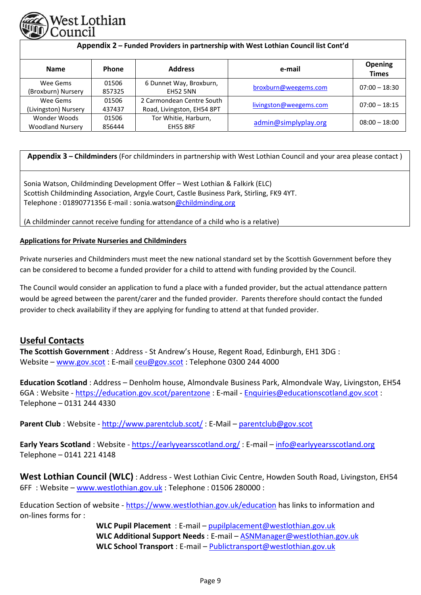

| Appendix 2 - Funded Providers in partnership with West Lothian Council list Cont'd |                 |                                                         |                        |                                |
|------------------------------------------------------------------------------------|-----------------|---------------------------------------------------------|------------------------|--------------------------------|
| <b>Name</b>                                                                        | <b>Phone</b>    | <b>Address</b>                                          | e-mail                 | <b>Opening</b><br><b>Times</b> |
| Wee Gems<br>(Broxburn) Nursery                                                     | 01506<br>857325 | 6 Dunnet Way, Broxburn,<br><b>EH52 5NN</b>              | broxburn@weegems.com   | $07:00 - 18:30$                |
| Wee Gems<br>(Livingston) Nursery                                                   | 01506<br>437437 | 2 Carmondean Centre South<br>Road, Livingston, EH54 8PT | livingston@weegems.com | $07:00 - 18:15$                |
| Wonder Woods<br><b>Woodland Nursery</b>                                            | 01506<br>856444 | Tor Whitie, Harburn,<br><b>EH55 8RF</b>                 | admin@simplyplay.org   | $08:00 - 18:00$                |

**Appendix 3 – Childminders** (For childminders in partnership with West Lothian Council and your area please contact )

Sonia Watson, Childminding Development Offer – West Lothian & Falkirk (ELC) Scottish Childminding Association, Argyle Court, Castle Business Park, Stirling, FK9 4YT. Telephone : 01890771356 E-mail : sonia.watson@childminding.org

(A childminder cannot receive funding for attendance of a child who is a relative)

# **Applications for Private Nurseries and Childminders**

Private nurseries and Childminders must meet the new national standard set by the Scottish Government before they can be considered to become a funded provider for a child to attend with funding provided by the Council.

The Council would consider an application to fund a place with a funded provider, but the actual attendance pattern would be agreed between the parent/carer and the funded provider. Parents therefore should contact the funded provider to check availability if they are applying for funding to attend at that funded provider.

# **Useful Contacts**

**The Scottish Government** : Address ‐ St Andrew's House, Regent Road, Edinburgh, EH1 3DG : Website – www.gov.scot : E‐mail ceu@gov.scot : Telephone 0300 244 4000

**Education Scotland** : Address – Denholm house, Almondvale Business Park, Almondvale Way, Livingston, EH54 6GA : Website ‐ https://education.gov.scot/parentzone : E‐mail ‐ Enquiries@educationscotland.gov.scot : Telephone – 0131 244 4330

**Parent Club** : Website ‐ http://www.parentclub.scot/ : E‐Mail – parentclub@gov.scot

**Early Years Scotland** : Website ‐ https://earlyyearsscotland.org/ : E‐mail – info@earlyyearsscotland.org Telephone – 0141 221 4148

**West Lothian Council (WLC)** : Address ‐ West Lothian Civic Centre, Howden South Road, Livingston, EH54 6FF : Website – www.westlothian.gov.uk : Telephone : 01506 280000 :

Education Section of website ‐ https://www.westlothian.gov.uk/education has links to information and on‐lines forms for :

> **WLC Pupil Placement** : E‐mail – pupilplacement@westlothian.gov.uk **WLC Additional Support Needs** : E‐mail – ASNManager@westlothian.gov.uk **WLC School Transport** : E‐mail – Publictransport@westlothian.gov.uk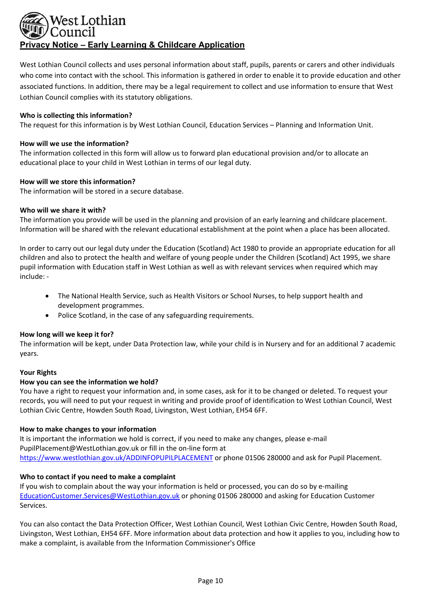# Vest Lothian **Privacy Notice – Early Learning & Childcare Application**

West Lothian Council collects and uses personal information about staff, pupils, parents or carers and other individuals who come into contact with the school. This information is gathered in order to enable it to provide education and other associated functions. In addition, there may be a legal requirement to collect and use information to ensure that West Lothian Council complies with its statutory obligations.

## **Who is collecting this information?**

The request for this information is by West Lothian Council, Education Services – Planning and Information Unit.

## **How will we use the information?**

The information collected in this form will allow us to forward plan educational provision and/or to allocate an educational place to your child in West Lothian in terms of our legal duty.

# **How will we store this information?**

The information will be stored in a secure database.

# **Who will we share it with?**

The information you provide will be used in the planning and provision of an early learning and childcare placement. Information will be shared with the relevant educational establishment at the point when a place has been allocated.

In order to carry out our legal duty under the Education (Scotland) Act 1980 to provide an appropriate education for all children and also to protect the health and welfare of young people under the Children (Scotland) Act 1995, we share pupil information with Education staff in West Lothian as well as with relevant services when required which may include: ‐

- The National Health Service, such as Health Visitors or School Nurses, to help support health and development programmes.
- Police Scotland, in the case of any safeguarding requirements.

#### **How long will we keep it for?**

The information will be kept, under Data Protection law, while your child is in Nursery and for an additional 7 academic years.

#### **Your Rights**

#### **How you can see the information we hold?**

You have a right to request your information and, in some cases, ask for it to be changed or deleted. To request your records, you will need to put your request in writing and provide proof of identification to West Lothian Council, West Lothian Civic Centre, Howden South Road, Livingston, West Lothian, EH54 6FF.

#### **How to make changes to your information**

It is important the information we hold is correct, if you need to make any changes, please e-mail PupilPlacement@WestLothian.gov.uk or fill in the on‐line form at https://www.westlothian.gov.uk/ADDINFOPUPILPLACEMENT or phone 01506 280000 and ask for Pupil Placement.

# **Who to contact if you need to make a complaint**

If you wish to complain about the way your information is held or processed, you can do so by e‐mailing EducationCustomer.Services@WestLothian.gov.uk or phoning 01506 280000 and asking for Education Customer Services.

You can also contact the Data Protection Officer, West Lothian Council, West Lothian Civic Centre, Howden South Road, Livingston, West Lothian, EH54 6FF. More information about data protection and how it applies to you, including how to make a complaint, is available from the Information Commissioner's Office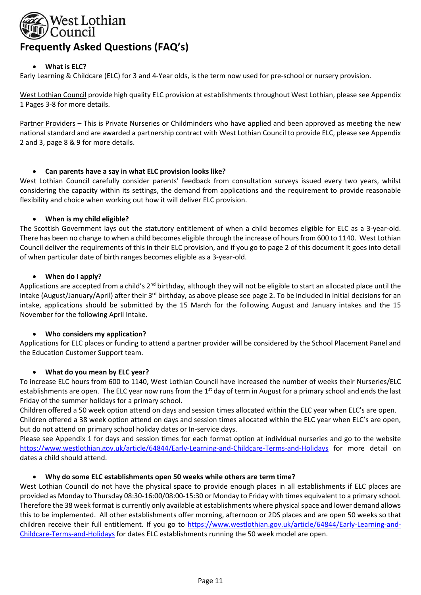

# **What is ELC?**

Early Learning & Childcare (ELC) for 3 and 4‐Year olds, is the term now used for pre‐school or nursery provision.

West Lothian Council provide high quality ELC provision at establishments throughout West Lothian, please see Appendix 1 Pages 3‐8 for more details.

Partner Providers – This is Private Nurseries or Childminders who have applied and been approved as meeting the new national standard and are awarded a partnership contract with West Lothian Council to provide ELC, please see Appendix 2 and 3, page 8 & 9 for more details.

# **Can parents have a say in what ELC provision looks like?**

West Lothian Council carefully consider parents' feedback from consultation surveys issued every two vears, whilst considering the capacity within its settings, the demand from applications and the requirement to provide reasonable flexibility and choice when working out how it will deliver ELC provision.

#### **When is my child eligible?**

The Scottish Government lays out the statutory entitlement of when a child becomes eligible for ELC as a 3‐year‐old. There has been no change to when a child becomes eligible through the increase of hours from 600 to 1140. West Lothian Council deliver the requirements of this in their ELC provision, and if you go to page 2 of this document it goes into detail of when particular date of birth ranges becomes eligible as a 3‐year‐old.

# **When do I apply?**

Applications are accepted from a child's 2<sup>nd</sup> birthday, although they will not be eligible to start an allocated place until the intake (August/January/April) after their 3<sup>rd</sup> birthday, as above please see page 2. To be included in initial decisions for an intake, applications should be submitted by the 15 March for the following August and January intakes and the 15 November for the following April Intake.

#### **Who considers my application?**

Applications for ELC places or funding to attend a partner provider will be considered by the School Placement Panel and the Education Customer Support team.

#### **What do you mean by ELC year?**

To increase ELC hours from 600 to 1140, West Lothian Council have increased the number of weeks their Nurseries/ELC establishments are open. The ELC year now runs from the  $1<sup>st</sup>$  day of term in August for a primary school and ends the last Friday of the summer holidays for a primary school.

Children offered a 50 week option attend on days and session times allocated within the ELC year when ELC's are open. Children offered a 38 week option attend on days and session times allocated within the ELC year when ELC's are open, but do not attend on primary school holiday dates or In‐service days.

Please see Appendix 1 for days and session times for each format option at individual nurseries and go to the website https://www.westlothian.gov.uk/article/64844/Early-Learning-and-Childcare-Terms-and-Holidays for more detail on dates a child should attend.

#### **Why do some ELC establishments open 50 weeks while others are term time?**

West Lothian Council do not have the physical space to provide enough places in all establishments if ELC places are provided as Monday to Thursday 08:30‐16:00/08:00‐15:30 or Monday to Friday with times equivalent to a primary school. Therefore the 38 week format is currently only available at establishments where physical space and lower demand allows this to be implemented. All other establishments offer morning, afternoon or 2DS places and are open 50 weeks so that children receive their full entitlement. If you go to https://www.westlothian.gov.uk/article/64844/Early-Learning-and-Childcare‐Terms‐and‐Holidays for dates ELC establishments running the 50 week model are open.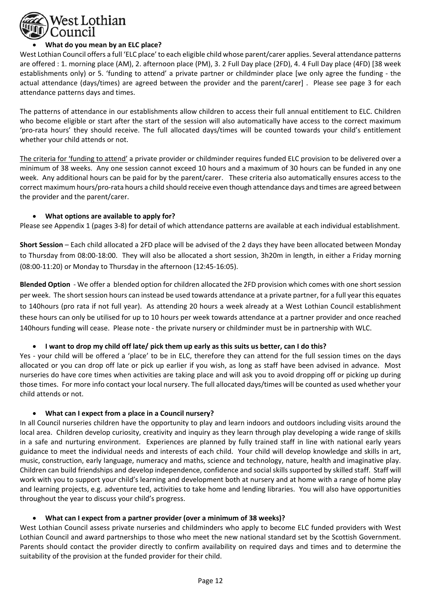

# **What do you mean by an ELC place?**

West Lothian Council offers a full 'ELC place' to each eligible child whose parent/carer applies. Several attendance patterns are offered : 1. morning place (AM), 2. afternoon place (PM), 3. 2 Full Day place (2FD), 4. 4 Full Day place (4FD) [38 week establishments only) or 5. 'funding to attend' a private partner or childminder place [we only agree the funding - the actual attendance (days/times) are agreed between the provider and the parent/carer]. Please see page 3 for each attendance patterns days and times.

The patterns of attendance in our establishments allow children to access their full annual entitlement to ELC. Children who become eligible or start after the start of the session will also automatically have access to the correct maximum 'pro‐rata hours' they should receive. The full allocated days/times will be counted towards your child's entitlement whether your child attends or not.

The criteria for 'funding to attend' a private provider or childminder requires funded ELC provision to be delivered over a minimum of 38 weeks. Any one session cannot exceed 10 hours and a maximum of 30 hours can be funded in any one week. Any additional hours can be paid for by the parent/carer. These criteria also automatically ensures access to the correct maximum hours/pro‐rata hours a child should receive even though attendance days and times are agreed between the provider and the parent/carer.

# **What options are available to apply for?**

Please see Appendix 1 (pages 3‐8) for detail of which attendance patterns are available at each individual establishment.

**Short Session** – Each child allocated a 2FD place will be advised of the 2 days they have been allocated between Monday to Thursday from 08:00‐18:00. They will also be allocated a short session, 3h20m in length, in either a Friday morning (08:00‐11:20) or Monday to Thursday in the afternoon (12:45‐16:05).

**Blended Option**  ‐ We offer a blended option for children allocated the 2FD provision which comes with one short session per week. The short session hours can instead be used towards attendance at a private partner, for a full year this equates to 140hours (pro rata if not full year). As attending 20 hours a week already at a West Lothian Council establishment these hours can only be utilised for up to 10 hours per week towards attendance at a partner provider and once reached 140hours funding will cease. Please note ‐ the private nursery or childminder must be in partnership with WLC.

#### **I want to drop my child off late/ pick them up early as this suits us better, can I do this?**

Yes - your child will be offered a 'place' to be in ELC, therefore they can attend for the full session times on the days allocated or you can drop off late or pick up earlier if you wish, as long as staff have been advised in advance. Most nurseries do have core times when activities are taking place and will ask you to avoid dropping off or picking up during those times. For more info contact your local nursery. The full allocated days/times will be counted as used whether your child attends or not.

# **What can I expect from a place in a Council nursery?**

In all Council nurseries children have the opportunity to play and learn indoors and outdoors including visits around the local area. Children develop curiosity, creativity and inquiry as they learn through play developing a wide range of skills in a safe and nurturing environment. Experiences are planned by fully trained staff in line with national early years guidance to meet the individual needs and interests of each child. Your child will develop knowledge and skills in art, music, construction, early language, numeracy and maths, science and technology, nature, health and imaginative play. Children can build friendships and develop independence, confidence and social skills supported by skilled staff. Staff will work with you to support your child's learning and development both at nursery and at home with a range of home play and learning projects, e.g. adventure ted, activities to take home and lending libraries. You will also have opportunities throughout the year to discuss your child's progress.

#### **What can I expect from a partner provider (over a minimum of 38 weeks)?**

West Lothian Council assess private nurseries and childminders who apply to become ELC funded providers with West Lothian Council and award partnerships to those who meet the new national standard set by the Scottish Government. Parents should contact the provider directly to confirm availability on required days and times and to determine the suitability of the provision at the funded provider for their child.